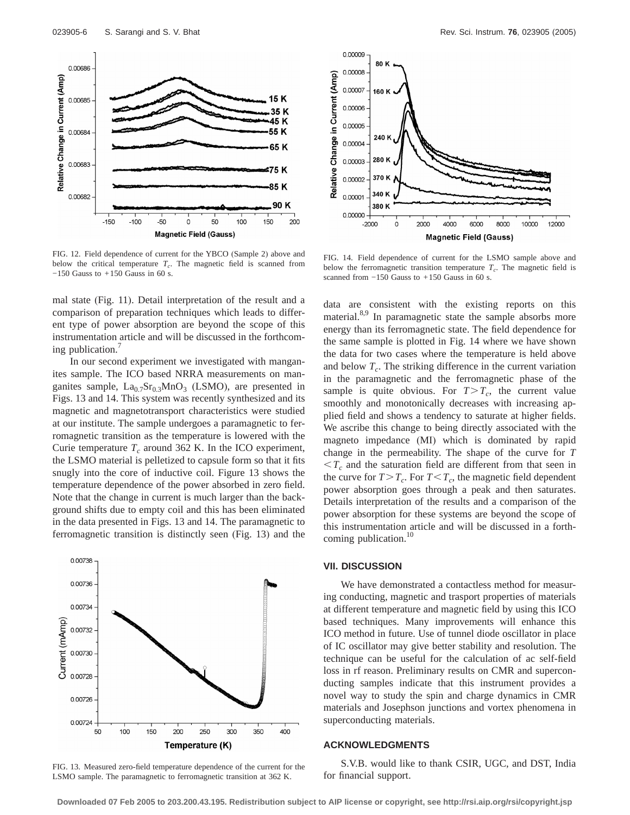

FIG. 12. Field dependence of current for the YBCO (Sample 2) above and below the critical temperature  $T_c$ . The magnetic field is scanned from −150 Gauss to +150 Gauss in 60 s.

mal state (Fig. 11). Detail interpretation of the result and a comparison of preparation techniques which leads to different type of power absorption are beyond the scope of this instrumentation article and will be discussed in the forthcoming publication.<sup>7</sup>

In our second experiment we investigated with manganites sample. The ICO based NRRA measurements on manganites sample,  $La_{0.7}Sr_{0.3}MnO_3$  (LSMO), are presented in Figs. 13 and 14. This system was recently synthesized and its magnetic and magnetotransport characteristics were studied at our institute. The sample undergoes a paramagnetic to ferromagnetic transition as the temperature is lowered with the Curie temperature  $T_c$  around 362 K. In the ICO experiment, the LSMO material is pelletized to capsule form so that it fits snugly into the core of inductive coil. Figure 13 shows the temperature dependence of the power absorbed in zero field. Note that the change in current is much larger than the background shifts due to empty coil and this has been eliminated in the data presented in Figs. 13 and 14. The paramagnetic to ferromagnetic transition is distinctly seen (Fig. 13) and the



FIG. 13. Measured zero-field temperature dependence of the current for the LSMO sample. The paramagnetic to ferromagnetic transition at 362 K.



FIG. 14. Field dependence of current for the LSMO sample above and below the ferromagnetic transition temperature  $T_c$ . The magnetic field is scanned from  $-150$  Gauss to  $+150$  Gauss in 60 s.

data are consistent with the existing reports on this material.<sup>8,9</sup> In paramagnetic state the sample absorbs more energy than its ferromagnetic state. The field dependence for the same sample is plotted in Fig. 14 where we have shown the data for two cases where the temperature is held above and below  $T_c$ . The striking difference in the current variation in the paramagnetic and the ferromagnetic phase of the sample is quite obvious. For  $T>T_c$ , the current value smoothly and monotonically decreases with increasing applied field and shows a tendency to saturate at higher fields. We ascribe this change to being directly associated with the magneto impedance (MI) which is dominated by rapid change in the permeability. The shape of the curve for *T*  $\langle T_c \rangle$  and the saturation field are different from that seen in the curve for  $T>T_c$ . For  $T < T_c$ , the magnetic field dependent power absorption goes through a peak and then saturates. Details interpretation of the results and a comparison of the power absorption for these systems are beyond the scope of this instrumentation article and will be discussed in a forthcoming publication.<sup>10</sup>

## **VII. DISCUSSION**

We have demonstrated a contactless method for measuring conducting, magnetic and trasport properties of materials at different temperature and magnetic field by using this ICO based techniques. Many improvements will enhance this ICO method in future. Use of tunnel diode oscillator in place of IC oscillator may give better stability and resolution. The technique can be useful for the calculation of ac self-field loss in rf reason. Preliminary results on CMR and superconducting samples indicate that this instrument provides a novel way to study the spin and charge dynamics in CMR materials and Josephson junctions and vortex phenomena in superconducting materials.

## **ACKNOWLEDGMENTS**

S.V.B. would like to thank CSIR, UGC, and DST, India for financial support.

**Downloaded 07 Feb 2005 to 203.200.43.195. Redistribution subject to AIP license or copyright, see http://rsi.aip.org/rsi/copyright.jsp**